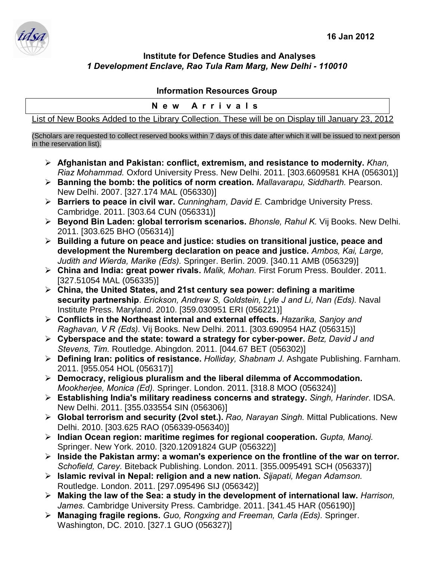## **Institute for Defence Studies and Analyses** *1 Development Enclave, Rao Tula Ram Marg, New Delhi - 110010*

## **Information Resources Group**

| New Arrivals |                                                                                                   |  |
|--------------|---------------------------------------------------------------------------------------------------|--|
|              | List of New Books Added to the Library Collection. These will be on Display till January 23, 2012 |  |

(Scholars are requested to collect reserved books within 7 days of this date after which it will be issued to next person in the reservation list).

- ÿ **Afghanistan and Pakistan: conflict, extremism, and resistance to modernity.** *Khan, Riaz Mohammad.* Oxford University Press. New Delhi. 2011. [303.6609581 KHA (056301)]
- ÿ **Banning the bomb: the politics of norm creation.** *Mallavarapu, Siddharth.* Pearson. New Delhi. 2007. [327.174 MAL (056330)]
- ÿ **Barriers to peace in civil war.** *Cunningham, David E.* Cambridge University Press. Cambridge. 2011. [303.64 CUN (056331)]
- ÿ **Beyond Bin Laden: global terrorism scenarios.** *Bhonsle, Rahul K.* Vij Books. New Delhi. 2011. [303.625 BHO (056314)]
- ÿ **Building a future on peace and justice: studies on transitional justice, peace and development the Nuremberg declaration on peace and justice.** *Ambos, Kai, Large, Judith and Wierda, Marike (Eds).* Springer. Berlin. 2009. [340.11 AMB (056329)]
- ÿ **China and India: great power rivals.** *Malik, Mohan.* First Forum Press. Boulder. 2011. [327.51054 MAL (056335)]
- ÿ **China, the United States, and 21st century sea power: defining a maritime security partnership**. *Erickson, Andrew S, Goldstein, Lyle J and Li, Nan (Eds).* Naval Institute Press. Maryland. 2010. [359.030951 ERI (056221)]
- ÿ **Conflicts in the Northeast internal and external effects.** *Hazarika, Sanjoy and Raghavan, V R (Eds).* Vij Books. New Delhi. 2011. [303.690954 HAZ (056315)]
- ÿ **Cyberspace and the state: toward a strategy for cyber-power.** *Betz, David J and Stevens, Tim.* Routledge. Abingdon. 2011. [044.67 BET (056302)]
- ÿ **Defining Iran: politics of resistance.** *Holliday, Shabnam J.* Ashgate Publishing. Farnham. 2011. [955.054 HOL (056317)]
- ÿ **Democracy, religious pluralism and the liberal dilemma of Accommodation.**  *Mookherjee, Monica (Ed).* Springer. London. 2011. [318.8 MOO (056324)]
- ÿ **Establishing India's military readiness concerns and strategy.** *Singh, Harinder.* IDSA. New Delhi. 2011. [355.033554 SIN (056306)]
- ÿ **Global terrorism and security (2vol stet.).** *Rao, Narayan Singh.* Mittal Publications. New Delhi. 2010. [303.625 RAO (056339-056340)]
- ÿ **Indian Ocean region: maritime regimes for regional cooperation.** *Gupta, Manoj.*  Springer. New York. 2010. [320.12091824 GUP (056322)]
- ÿ **Inside the Pakistan army: a woman's experience on the frontline of the war on terror.**  *Schofield, Carey.* Biteback Publishing. London. 2011. [355.0095491 SCH (056337)]
- ÿ **Islamic revival in Nepal: religion and a new nation.** *Sijapati, Megan Adamson.*  Routledge. London. 2011. [297.095496 SIJ (056342)]
- ÿ **Making the law of the Sea: a study in the development of international law.** *Harrison, James.* Cambridge University Press. Cambridge. 2011. [341.45 HAR (056190)]
- ÿ **Managing fragile regions.** *Guo, Rongxing and Freeman, Carla (Eds).* Springer. Washington, DC. 2010. [327.1 GUO (056327)]